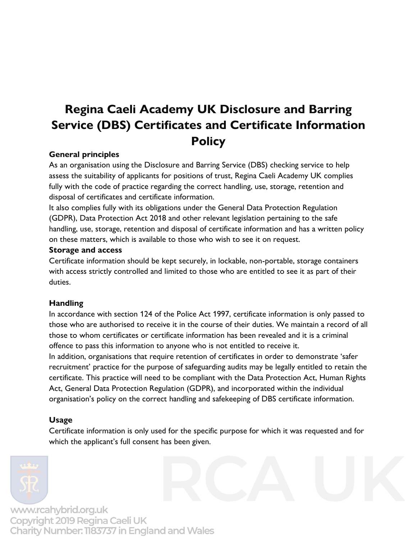# **Regina Caeli Academy UK Disclosure and Barring Service (DBS) Certificates and Certificate Information Policy**

### **General principles**

As an organisation using the Disclosure and Barring Service (DBS) checking service to help assess the suitability of applicants for positions of trust, Regina Caeli Academy UK complies fully with the code of practice regarding the correct handling, use, storage, retention and disposal of certificates and certificate information.

It also complies fully with its obligations under the General Data Protection Regulation (GDPR), Data Protection Act 2018 and other relevant legislation pertaining to the safe handling, use, storage, retention and disposal of certificate information and has a written policy on these matters, which is available to those who wish to see it on request.

#### **Storage and access**

Certificate information should be kept securely, in lockable, non-portable, storage containers with access strictly controlled and limited to those who are entitled to see it as part of their duties.

### **Handling**

In accordance with section 124 of the Police Act 1997, certificate information is only passed to those who are authorised to receive it in the course of their duties. We maintain a record of all those to whom certificates or certificate information has been revealed and it is a criminal offence to pass this information to anyone who is not entitled to receive it.

In addition, organisations that require retention of certificates in order to demonstrate 'safer recruitment' practice for the purpose of safeguarding audits may be legally entitled to retain the certificate. This practice will need to be compliant with the Data Protection Act, Human Rights Act, General Data Protection Regulation (GDPR), and incorporated within the individual organisation's policy on the correct handling and safekeeping of DBS certificate information.

### **Usage**

Certificate information is only used for the specific purpose for which it was requested and for which the applicant's full consent has been given.



www.rcahybrid.org.uk Copyright 2019 Regina Caeli UK Charity Number: 1183737 in England and Wales